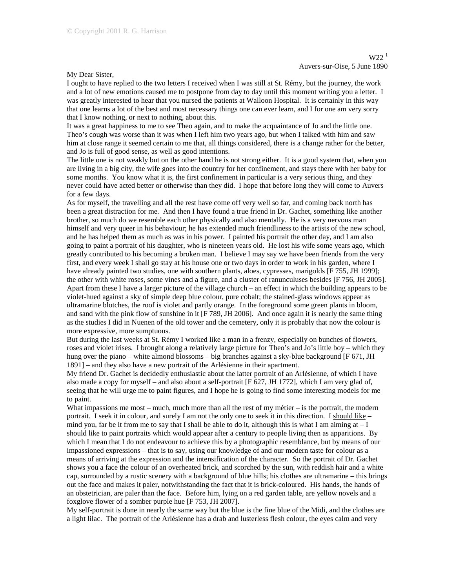## My Dear Sister,

I ought to have replied to the two letters I received when I was still at St. Rémy, but the journey, the work and a lot of new emotions caused me to postpone from day to day until this moment writing you a letter. I was greatly interested to hear that you nursed the patients at Walloon Hospital. It is certainly in this way that one learns a lot of the best and most necessary things one can ever learn, and I for one am very sorry that I know nothing, or next to nothing, about this.

It was a great happiness to me to see Theo again, and to make the acquaintance of Jo and the little one. Theo's cough was worse than it was when I left him two years ago, but when I talked with him and saw him at close range it seemed certain to me that, all things considered, there is a change rather for the better, and Jo is full of good sense, as well as good intentions.

The little one is not weakly but on the other hand he is not strong either. It is a good system that, when you are living in a big city, the wife goes into the country for her confinement, and stays there with her baby for some months. You know what it is, the first confinement in particular is a very serious thing, and they never could have acted better or otherwise than they did. I hope that before long they will come to Auvers for a few days.

As for myself, the travelling and all the rest have come off very well so far, and coming back north has been a great distraction for me. And then I have found a true friend in Dr. Gachet, something like another brother, so much do we resemble each other physically and also mentally. He is a very nervous man himself and very queer in his behaviour; he has extended much friendliness to the artists of the new school, and he has helped them as much as was in his power. I painted his portrait the other day, and I am also going to paint a portrait of his daughter, who is nineteen years old. He lost his wife some years ago, which greatly contributed to his becoming a broken man. I believe I may say we have been friends from the very first, and every week I shall go stay at his house one or two days in order to work in his garden, where I have already painted two studies, one with southern plants, aloes, cypresses, marigolds [F 755, JH 1999]; the other with white roses, some vines and a figure, and a cluster of ranunculuses besides [F 756, JH 2005]. Apart from these I have a larger picture of the village church – an effect in which the building appears to be violet-hued against a sky of simple deep blue colour, pure cobalt; the stained-glass windows appear as ultramarine blotches, the roof is violet and partly orange. In the foreground some green plants in bloom, and sand with the pink flow of sunshine in it [F 789, JH 2006]. And once again it is nearly the same thing as the studies I did in Nuenen of the old tower and the cemetery, only it is probably that now the colour is more expressive, more sumptuous.

But during the last weeks at St. Rémy I worked like a man in a frenzy, especially on bunches of flowers, roses and violet irises. I brought along a relatively large picture for Theo's and Jo's little boy – which they hung over the piano – white almond blossoms – big branches against a sky-blue background [F 671, JH 1891] – and they also have a new portrait of the Arlésienne in their apartment.

My friend Dr. Gachet is decidedly enthusiastic about the latter portrait of an Arlésienne, of which I have also made a copy for myself – and also about a self-portrait [F 627, JH 1772], which I am very glad of, seeing that he will urge me to paint figures, and I hope he is going to find some interesting models for me to paint.

What impassions me most – much, much more than all the rest of my métier – is the portrait, the modern portrait. I seek it in colour, and surely I am not the only one to seek it in this direction. I should like – mind you, far be it from me to say that I shall be able to do it, although this is what I am aiming at  $-I$ should like to paint portraits which would appear after a century to people living then as apparitions. By which I mean that I do not endeavour to achieve this by a photographic resemblance, but by means of our impassioned expressions – that is to say, using our knowledge of and our modern taste for colour as a means of arriving at the expression and the intensification of the character. So the portrait of Dr. Gachet shows you a face the colour of an overheated brick, and scorched by the sun, with reddish hair and a white cap, surrounded by a rustic scenery with a background of blue hills; his clothes are ultramarine – this brings out the face and makes it paler, notwithstanding the fact that it is brick-coloured. His hands, the hands of an obstetrician, are paler than the face. Before him, lying on a red garden table, are yellow novels and a foxglove flower of a somber purple hue [F 753, JH 2007].

My self-portrait is done in nearly the same way but the blue is the fine blue of the Midi, and the clothes are a light lilac. The portrait of the Arlésienne has a drab and lusterless flesh colour, the eyes calm and very